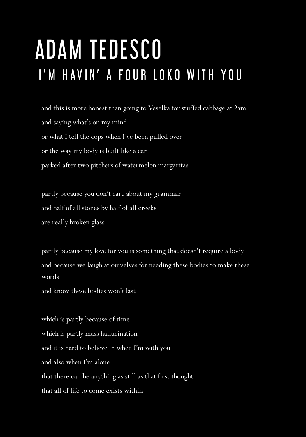## ADAM TEDESCO I'M HAVIN' A FOUR LOKO WITH YOU

and this is more honest than going to Veselka for stuffed cabbage at 2am and saying what's on my mind or what I tell the cops when I've been pulled over or the way my body is built like a car parked after two pitchers of watermelon margaritas

partly because you don't care about my grammar and half of all stones by half of all creeks are really broken glass

partly because my love for you is something that doesn't require a body and because we laugh at ourselves for needing these bodies to make these words

and know these bodies won't last

which is partly because of time which is partly mass hallucination and it is hard to believe in when I'm with you and also when I'm alone that there can be anything as still as that first thought that all of life to come exists within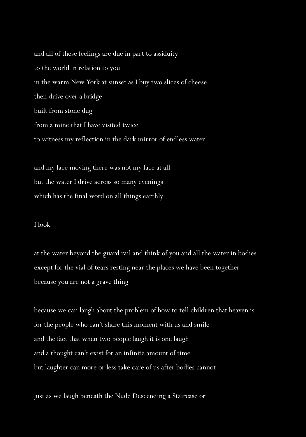and all of these feelings are due in part to assiduity to the world in relation to you in the warm New York at sunset as I buy two slices of cheese then drive over a bridge built from stone dug from a mine that I have visited twice to witness my reflection in the dark mirror of endless water

and my face moving there was not my face at all but the water I drive across so many evenings which has the final word on all things earthly

## I look

at the water beyond the guard rail and think of you and all the water in bodies except for the vial of tears resting near the places we have been together because you are not a grave thing

because we can laugh about the problem of how to tell children that heaven is for the people who can't share this moment with us and smile and the fact that when two people laugh it is one laugh and a thought can't exist for an infinite amount of time but laughter can more or less take care of us after bodies cannot

just as we laugh beneath the Nude Descending a Staircase or